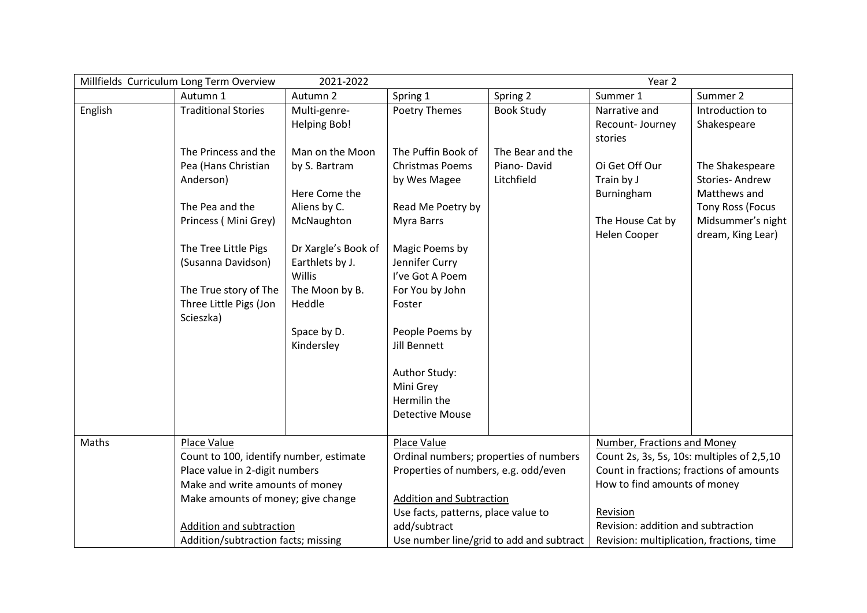|         | Millfields Curriculum Long Term Overview | 2021-2022                 | Year 2                                   |                   |                                            |                   |
|---------|------------------------------------------|---------------------------|------------------------------------------|-------------------|--------------------------------------------|-------------------|
|         | Autumn 1                                 | Autumn 2                  | Spring 1                                 | Spring 2          | Summer 1                                   | Summer 2          |
| English | <b>Traditional Stories</b>               | Multi-genre-              | Poetry Themes                            | <b>Book Study</b> | Narrative and                              | Introduction to   |
|         |                                          | <b>Helping Bob!</b>       |                                          |                   | Recount-Journey                            | Shakespeare       |
|         |                                          |                           |                                          |                   | stories                                    |                   |
|         | The Princess and the                     | Man on the Moon           | The Puffin Book of                       | The Bear and the  |                                            |                   |
|         | Pea (Hans Christian                      | by S. Bartram             | <b>Christmas Poems</b>                   | Piano-David       | Oi Get Off Our                             | The Shakespeare   |
|         | Anderson)                                |                           | by Wes Magee                             | Litchfield        | Train by J                                 | Stories-Andrew    |
|         |                                          | Here Come the             |                                          |                   | Burningham                                 | Matthews and      |
|         | The Pea and the                          | Aliens by C.              | Read Me Poetry by                        |                   |                                            | Tony Ross (Focus  |
|         | Princess (Mini Grey)                     | McNaughton                | Myra Barrs                               |                   | The House Cat by                           | Midsummer's night |
|         |                                          |                           |                                          |                   | Helen Cooper                               | dream, King Lear) |
|         | The Tree Little Pigs                     | Dr Xargle's Book of       | Magic Poems by                           |                   |                                            |                   |
|         | (Susanna Davidson)                       | Earthlets by J.           | Jennifer Curry                           |                   |                                            |                   |
|         |                                          | Willis                    | I've Got A Poem                          |                   |                                            |                   |
|         | The True story of The                    | The Moon by B.            | For You by John                          |                   |                                            |                   |
|         | Three Little Pigs (Jon                   | Heddle                    | Foster                                   |                   |                                            |                   |
|         | Scieszka)                                |                           | People Poems by                          |                   |                                            |                   |
|         |                                          | Space by D.<br>Kindersley | Jill Bennett                             |                   |                                            |                   |
|         |                                          |                           |                                          |                   |                                            |                   |
|         |                                          |                           | Author Study:                            |                   |                                            |                   |
|         |                                          |                           | Mini Grey                                |                   |                                            |                   |
|         |                                          |                           | Hermilin the                             |                   |                                            |                   |
|         |                                          |                           | <b>Detective Mouse</b>                   |                   |                                            |                   |
|         |                                          |                           |                                          |                   |                                            |                   |
| Maths   | Place Value                              |                           | Place Value                              |                   | <b>Number, Fractions and Money</b>         |                   |
|         | Count to 100, identify number, estimate  |                           | Ordinal numbers; properties of numbers   |                   | Count 2s, 3s, 5s, 10s: multiples of 2,5,10 |                   |
|         | Place value in 2-digit numbers           |                           | Properties of numbers, e.g. odd/even     |                   | Count in fractions; fractions of amounts   |                   |
|         | Make and write amounts of money          |                           |                                          |                   | How to find amounts of money               |                   |
|         | Make amounts of money; give change       |                           | <b>Addition and Subtraction</b>          |                   |                                            |                   |
|         |                                          |                           | Use facts, patterns, place value to      |                   | Revision                                   |                   |
|         | Addition and subtraction                 |                           | add/subtract                             |                   | Revision: addition and subtraction         |                   |
|         | Addition/subtraction facts; missing      |                           | Use number line/grid to add and subtract |                   | Revision: multiplication, fractions, time  |                   |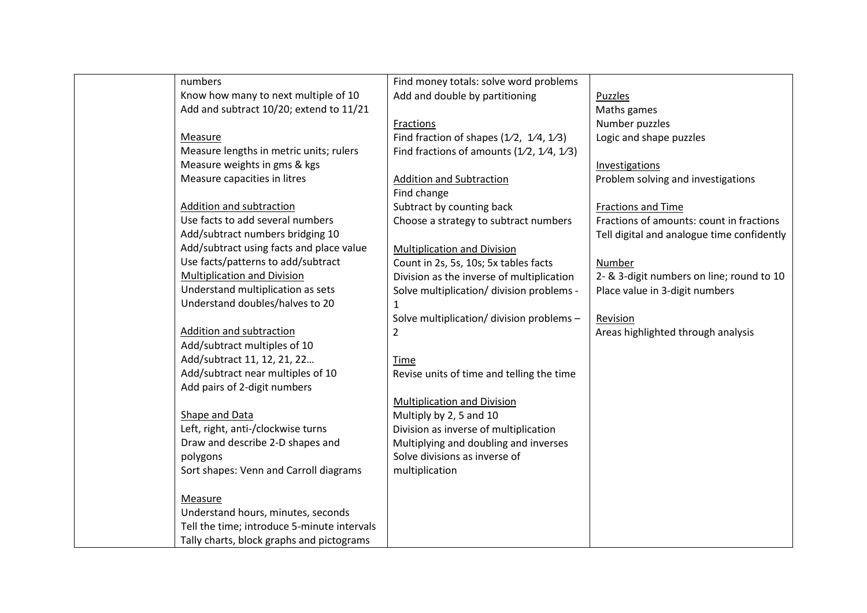| numbers                                     | Find money totals: solve word problems      |                                            |
|---------------------------------------------|---------------------------------------------|--------------------------------------------|
| Know how many to next multiple of 10        | Add and double by partitioning              | <b>Puzzles</b>                             |
| Add and subtract 10/20; extend to 11/21     |                                             | Maths games                                |
|                                             | Fractions                                   | Number puzzles                             |
| Measure                                     | Find fraction of shapes $(1/2, 1/4, 1/3)$   | Logic and shape puzzles                    |
| Measure lengths in metric units; rulers     | Find fractions of amounts $(1/2, 1/4, 1/3)$ |                                            |
| Measure weights in gms & kgs                |                                             | Investigations                             |
| Measure capacities in litres                | <b>Addition and Subtraction</b>             | Problem solving and investigations         |
|                                             | Find change                                 |                                            |
| Addition and subtraction                    | Subtract by counting back                   | <b>Fractions and Time</b>                  |
| Use facts to add several numbers            | Choose a strategy to subtract numbers       | Fractions of amounts: count in fractions   |
| Add/subtract numbers bridging 10            |                                             | Tell digital and analogue time confidently |
| Add/subtract using facts and place value    | <b>Multiplication and Division</b>          |                                            |
| Use facts/patterns to add/subtract          | Count in 2s, 5s, 10s; 5x tables facts       | Number                                     |
| <b>Multiplication and Division</b>          | Division as the inverse of multiplication   | 2- & 3-digit numbers on line; round to 10  |
| Understand multiplication as sets           | Solve multiplication/ division problems -   | Place value in 3-digit numbers             |
| Understand doubles/halves to 20             | 1                                           |                                            |
|                                             | Solve multiplication/ division problems -   | Revision                                   |
| <b>Addition and subtraction</b>             | 2                                           | Areas highlighted through analysis         |
| Add/subtract multiples of 10                |                                             |                                            |
| Add/subtract 11, 12, 21, 22                 | Time                                        |                                            |
| Add/subtract near multiples of 10           | Revise units of time and telling the time   |                                            |
| Add pairs of 2-digit numbers                |                                             |                                            |
|                                             | <b>Multiplication and Division</b>          |                                            |
| Shape and Data                              | Multiply by 2, 5 and 10                     |                                            |
| Left, right, anti-/clockwise turns          | Division as inverse of multiplication       |                                            |
| Draw and describe 2-D shapes and            | Multiplying and doubling and inverses       |                                            |
| polygons                                    | Solve divisions as inverse of               |                                            |
| Sort shapes: Venn and Carroll diagrams      | multiplication                              |                                            |
| Measure                                     |                                             |                                            |
| Understand hours, minutes, seconds          |                                             |                                            |
| Tell the time; introduce 5-minute intervals |                                             |                                            |
| Tally charts, block graphs and pictograms   |                                             |                                            |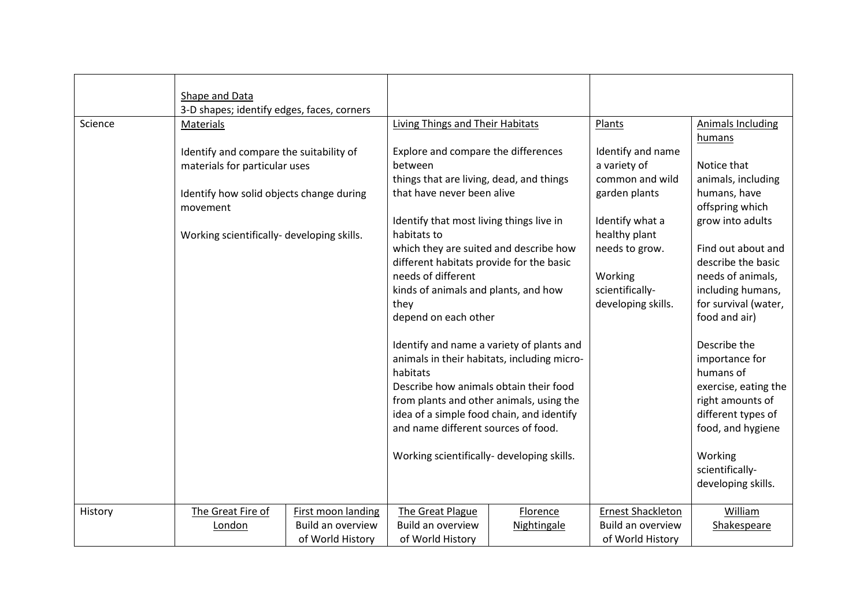|         | Shape and Data                             |                    |                                             |             |                          |                          |
|---------|--------------------------------------------|--------------------|---------------------------------------------|-------------|--------------------------|--------------------------|
|         | 3-D shapes; identify edges, faces, corners |                    |                                             |             |                          |                          |
| Science | Materials                                  |                    | Living Things and Their Habitats            |             | Plants                   | <b>Animals Including</b> |
|         |                                            |                    |                                             |             |                          | humans                   |
|         | Identify and compare the suitability of    |                    | Explore and compare the differences         |             | Identify and name        |                          |
|         | materials for particular uses              |                    | between                                     |             | a variety of             | Notice that              |
|         |                                            |                    | things that are living, dead, and things    |             | common and wild          | animals, including       |
|         | Identify how solid objects change during   |                    | that have never been alive                  |             | garden plants            | humans, have             |
|         | movement                                   |                    |                                             |             |                          | offspring which          |
|         |                                            |                    | Identify that most living things live in    |             | Identify what a          | grow into adults         |
|         | Working scientifically- developing skills. |                    | habitats to                                 |             | healthy plant            |                          |
|         |                                            |                    | which they are suited and describe how      |             | needs to grow.           | Find out about and       |
|         |                                            |                    | different habitats provide for the basic    |             |                          | describe the basic       |
|         |                                            |                    | needs of different                          |             | Working                  | needs of animals,        |
|         |                                            |                    | kinds of animals and plants, and how        |             | scientifically-          | including humans,        |
|         |                                            |                    | they                                        |             | developing skills.       | for survival (water,     |
|         |                                            |                    | depend on each other                        |             |                          | food and air)            |
|         |                                            |                    |                                             |             |                          |                          |
|         |                                            |                    | Identify and name a variety of plants and   |             |                          | Describe the             |
|         |                                            |                    | animals in their habitats, including micro- |             |                          | importance for           |
|         |                                            |                    | habitats                                    |             |                          | humans of                |
|         |                                            |                    | Describe how animals obtain their food      |             |                          | exercise, eating the     |
|         |                                            |                    | from plants and other animals, using the    |             |                          | right amounts of         |
|         |                                            |                    | idea of a simple food chain, and identify   |             |                          | different types of       |
|         |                                            |                    | and name different sources of food.         |             |                          | food, and hygiene        |
|         |                                            |                    |                                             |             |                          |                          |
|         |                                            |                    | Working scientifically- developing skills.  |             |                          | Working                  |
|         |                                            |                    |                                             |             |                          | scientifically-          |
|         |                                            |                    |                                             |             |                          | developing skills.       |
|         |                                            |                    |                                             |             |                          |                          |
| History | The Great Fire of                          | First moon landing | The Great Plague                            | Florence    | <b>Ernest Shackleton</b> | William                  |
|         | London                                     | Build an overview  | <b>Build an overview</b>                    | Nightingale | Build an overview        | Shakespeare              |
|         |                                            | of World History   | of World History                            |             | of World History         |                          |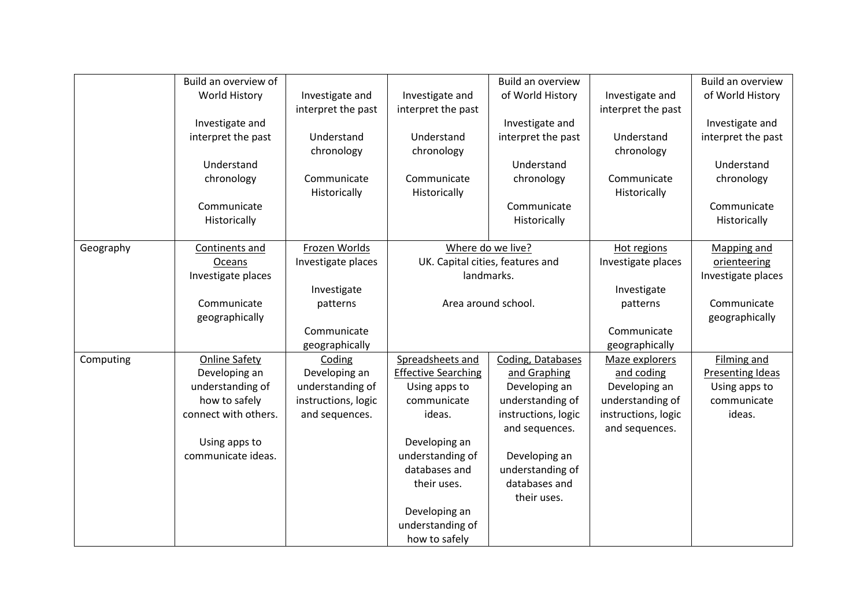|           | Build an overview of |                     |                            | Build an overview                |                     | Build an overview  |
|-----------|----------------------|---------------------|----------------------------|----------------------------------|---------------------|--------------------|
|           | <b>World History</b> | Investigate and     | Investigate and            | of World History                 | Investigate and     | of World History   |
|           |                      | interpret the past  | interpret the past         |                                  | interpret the past  |                    |
|           | Investigate and      |                     |                            | Investigate and                  |                     | Investigate and    |
|           | interpret the past   | Understand          | Understand                 | interpret the past               | Understand          | interpret the past |
|           |                      | chronology          | chronology                 |                                  | chronology          |                    |
|           | Understand           |                     |                            | Understand                       |                     | Understand         |
|           | chronology           | Communicate         | Communicate                | chronology                       | Communicate         | chronology         |
|           |                      | Historically        | Historically               |                                  | Historically        |                    |
|           | Communicate          |                     |                            | Communicate                      |                     | Communicate        |
|           | Historically         |                     |                            | Historically                     |                     | Historically       |
|           |                      |                     |                            |                                  |                     |                    |
| Geography | Continents and       | Frozen Worlds       |                            | Where do we live?                | Hot regions         | Mapping and        |
|           | Oceans               | Investigate places  |                            | UK. Capital cities, features and | Investigate places  | orienteering       |
|           | Investigate places   |                     |                            | landmarks.                       |                     | Investigate places |
|           |                      | Investigate         |                            |                                  | Investigate         |                    |
|           | Communicate          | patterns            |                            | Area around school.              | patterns            | Communicate        |
|           | geographically       |                     |                            |                                  |                     | geographically     |
|           |                      | Communicate         |                            |                                  | Communicate         |                    |
|           |                      | geographically      |                            |                                  | geographically      |                    |
| Computing | <b>Online Safety</b> | Coding              | Spreadsheets and           | Coding, Databases                | Maze explorers      | Filming and        |
|           | Developing an        | Developing an       | <b>Effective Searching</b> | and Graphing                     | and coding          | Presenting Ideas   |
|           | understanding of     | understanding of    | Using apps to              | Developing an                    | Developing an       | Using apps to      |
|           | how to safely        | instructions, logic | communicate                | understanding of                 | understanding of    | communicate        |
|           | connect with others. | and sequences.      | ideas.                     | instructions, logic              | instructions, logic | ideas.             |
|           |                      |                     |                            | and sequences.                   | and sequences.      |                    |
|           | Using apps to        |                     | Developing an              |                                  |                     |                    |
|           | communicate ideas.   |                     | understanding of           | Developing an                    |                     |                    |
|           |                      |                     | databases and              | understanding of                 |                     |                    |
|           |                      |                     | their uses.                | databases and                    |                     |                    |
|           |                      |                     |                            | their uses.                      |                     |                    |
|           |                      |                     | Developing an              |                                  |                     |                    |
|           |                      |                     | understanding of           |                                  |                     |                    |
|           |                      |                     | how to safely              |                                  |                     |                    |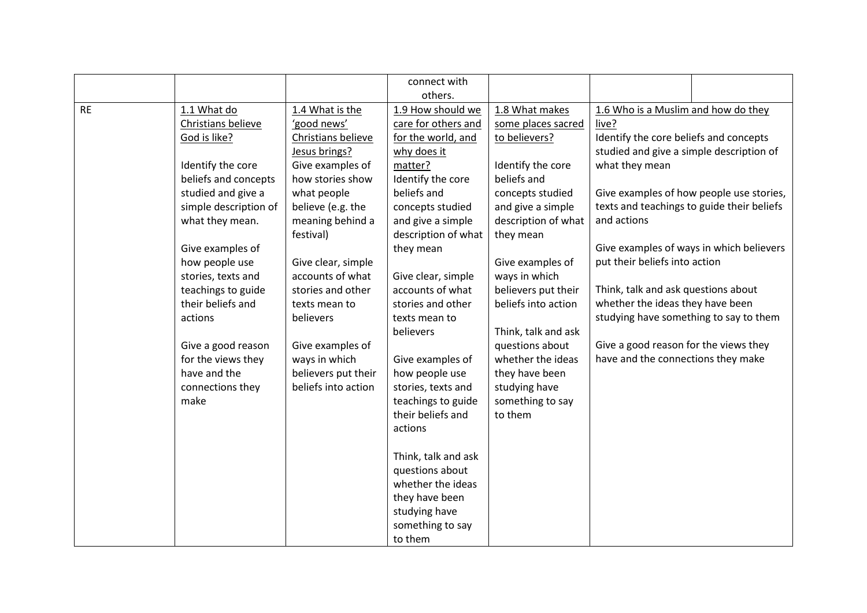|           |                       |                     | connect with        |                     |                                            |                                          |
|-----------|-----------------------|---------------------|---------------------|---------------------|--------------------------------------------|------------------------------------------|
|           |                       |                     | others.             |                     |                                            |                                          |
| <b>RE</b> | 1.1 What do           | 1.4 What is the     | 1.9 How should we   | 1.8 What makes      | 1.6 Who is a Muslim and how do they        |                                          |
|           | Christians believe    | 'good news'         | care for others and | some places sacred  | live?                                      |                                          |
|           | God is like?          | Christians believe  | for the world, and  | to believers?       | Identify the core beliefs and concepts     |                                          |
|           |                       | Jesus brings?       | why does it         |                     | studied and give a simple description of   |                                          |
|           | Identify the core     | Give examples of    | matter?             | Identify the core   | what they mean                             |                                          |
|           | beliefs and concepts  | how stories show    | Identify the core   | beliefs and         |                                            |                                          |
|           | studied and give a    | what people         | beliefs and         | concepts studied    |                                            | Give examples of how people use stories, |
|           | simple description of | believe (e.g. the   | concepts studied    | and give a simple   | texts and teachings to guide their beliefs |                                          |
|           | what they mean.       | meaning behind a    | and give a simple   | description of what | and actions                                |                                          |
|           |                       | festival)           | description of what | they mean           |                                            |                                          |
|           | Give examples of      |                     | they mean           |                     |                                            | Give examples of ways in which believers |
|           | how people use        | Give clear, simple  |                     | Give examples of    | put their beliefs into action              |                                          |
|           | stories, texts and    | accounts of what    | Give clear, simple  | ways in which       |                                            |                                          |
|           | teachings to guide    | stories and other   | accounts of what    | believers put their | Think, talk and ask questions about        |                                          |
|           | their beliefs and     | texts mean to       | stories and other   | beliefs into action | whether the ideas they have been           |                                          |
|           | actions               | believers           | texts mean to       |                     | studying have something to say to them     |                                          |
|           |                       |                     | believers           | Think, talk and ask |                                            |                                          |
|           | Give a good reason    | Give examples of    |                     | questions about     | Give a good reason for the views they      |                                          |
|           | for the views they    | ways in which       | Give examples of    | whether the ideas   | have and the connections they make         |                                          |
|           | have and the          | believers put their | how people use      | they have been      |                                            |                                          |
|           | connections they      | beliefs into action | stories, texts and  | studying have       |                                            |                                          |
|           | make                  |                     | teachings to guide  | something to say    |                                            |                                          |
|           |                       |                     | their beliefs and   | to them             |                                            |                                          |
|           |                       |                     | actions             |                     |                                            |                                          |
|           |                       |                     |                     |                     |                                            |                                          |
|           |                       |                     | Think, talk and ask |                     |                                            |                                          |
|           |                       |                     | questions about     |                     |                                            |                                          |
|           |                       |                     | whether the ideas   |                     |                                            |                                          |
|           |                       |                     | they have been      |                     |                                            |                                          |
|           |                       |                     | studying have       |                     |                                            |                                          |
|           |                       |                     | something to say    |                     |                                            |                                          |
|           |                       |                     | to them             |                     |                                            |                                          |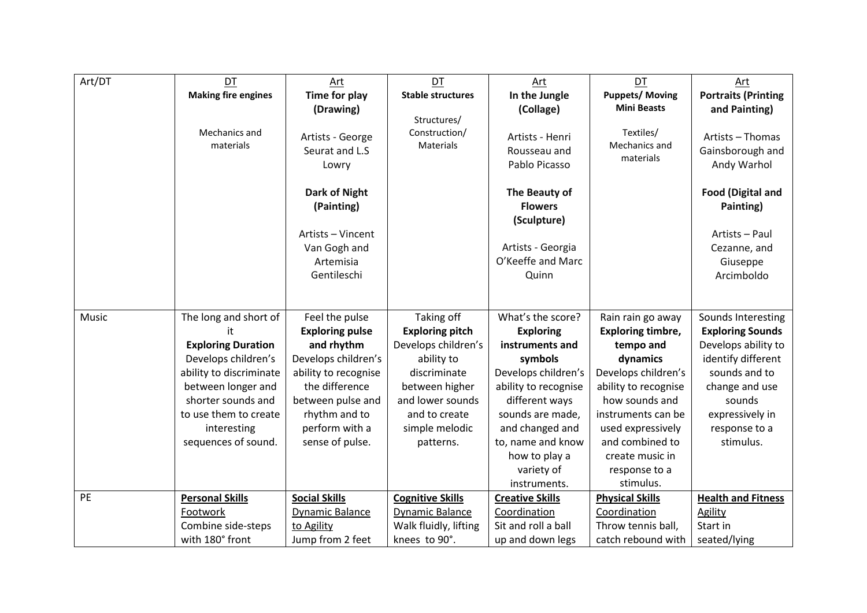| Art/DT | DT                         | Art                                         | DT                                        | Art                                              | DT                                      | Art                                                 |
|--------|----------------------------|---------------------------------------------|-------------------------------------------|--------------------------------------------------|-----------------------------------------|-----------------------------------------------------|
|        | <b>Making fire engines</b> | <b>Time for play</b>                        | <b>Stable structures</b>                  | In the Jungle                                    | <b>Puppets/Moving</b>                   | <b>Portraits (Printing</b>                          |
|        |                            | (Drawing)                                   |                                           | (Collage)                                        | <b>Mini Beasts</b>                      | and Painting)                                       |
|        | Mechanics and<br>materials | Artists - George<br>Seurat and L.S<br>Lowry | Structures/<br>Construction/<br>Materials | Artists - Henri<br>Rousseau and<br>Pablo Picasso | Textiles/<br>Mechanics and<br>materials | Artists - Thomas<br>Gainsborough and<br>Andy Warhol |
|        |                            | <b>Dark of Night</b><br>(Painting)          |                                           | The Beauty of<br><b>Flowers</b><br>(Sculpture)   |                                         | <b>Food (Digital and</b><br>Painting)               |
|        |                            | Artists - Vincent                           |                                           |                                                  |                                         | Artists - Paul                                      |
|        |                            | Van Gogh and                                |                                           | Artists - Georgia                                |                                         | Cezanne, and                                        |
|        |                            | Artemisia                                   |                                           | O'Keeffe and Marc                                |                                         | Giuseppe                                            |
|        |                            | Gentileschi                                 |                                           | Quinn                                            |                                         | Arcimboldo                                          |
|        |                            |                                             |                                           |                                                  |                                         |                                                     |
| Music  | The long and short of      | Feel the pulse                              | Taking off                                | What's the score?                                | Rain rain go away                       | Sounds Interesting                                  |
|        | it                         | <b>Exploring pulse</b>                      | <b>Exploring pitch</b>                    | <b>Exploring</b>                                 | <b>Exploring timbre,</b>                | <b>Exploring Sounds</b>                             |
|        | <b>Exploring Duration</b>  | and rhythm                                  | Develops children's                       | instruments and                                  | tempo and                               | Develops ability to                                 |
|        | Develops children's        | Develops children's                         | ability to                                | symbols                                          | dynamics                                | identify different                                  |
|        | ability to discriminate    | ability to recognise                        | discriminate                              | Develops children's                              | Develops children's                     | sounds and to                                       |
|        | between longer and         | the difference                              | between higher                            | ability to recognise                             | ability to recognise                    | change and use                                      |
|        | shorter sounds and         | between pulse and                           | and lower sounds                          | different ways                                   | how sounds and                          | sounds                                              |
|        | to use them to create      | rhythm and to                               | and to create                             | sounds are made,                                 | instruments can be                      | expressively in                                     |
|        | interesting                | perform with a                              | simple melodic                            | and changed and                                  | used expressively                       | response to a                                       |
|        | sequences of sound.        | sense of pulse.                             | patterns.                                 | to, name and know                                | and combined to                         | stimulus.                                           |
|        |                            |                                             |                                           | how to play a                                    | create music in                         |                                                     |
|        |                            |                                             |                                           | variety of                                       | response to a                           |                                                     |
|        |                            |                                             |                                           | instruments.                                     | stimulus.                               |                                                     |
| PE     | <b>Personal Skills</b>     | <b>Social Skills</b>                        | <b>Cognitive Skills</b>                   | <b>Creative Skills</b>                           | <b>Physical Skills</b>                  | <b>Health and Fitness</b>                           |
|        | Footwork                   | <b>Dynamic Balance</b>                      | Dynamic Balance                           | Coordination                                     | Coordination                            | <b>Agility</b>                                      |
|        | Combine side-steps         | to Agility                                  | Walk fluidly, lifting                     | Sit and roll a ball                              | Throw tennis ball,                      | Start in                                            |
|        | with 180° front            | Jump from 2 feet                            | knees to 90°.                             | up and down legs                                 | catch rebound with                      | seated/lying                                        |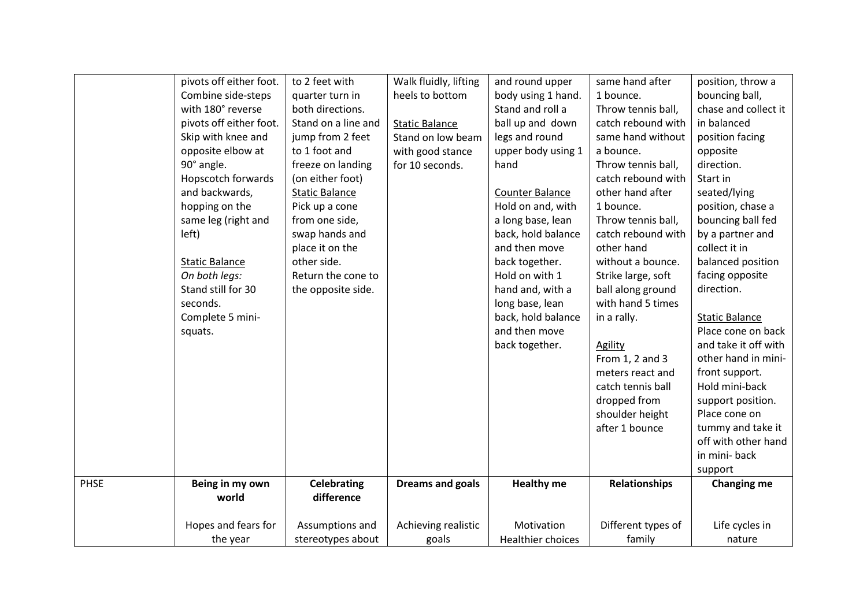|             | pivots off either foot. | to 2 feet with        | Walk fluidly, lifting   | and round upper    | same hand after    | position, throw a     |
|-------------|-------------------------|-----------------------|-------------------------|--------------------|--------------------|-----------------------|
|             | Combine side-steps      | quarter turn in       | heels to bottom         | body using 1 hand. | 1 bounce.          | bouncing ball,        |
|             | with 180° reverse       | both directions.      |                         | Stand and roll a   | Throw tennis ball, | chase and collect it  |
|             | pivots off either foot. | Stand on a line and   | <b>Static Balance</b>   | ball up and down   | catch rebound with | in balanced           |
|             | Skip with knee and      | jump from 2 feet      | Stand on low beam       | legs and round     | same hand without  | position facing       |
|             | opposite elbow at       | to 1 foot and         | with good stance        | upper body using 1 | a bounce.          | opposite              |
|             | 90° angle.              | freeze on landing     | for 10 seconds.         | hand               | Throw tennis ball, | direction.            |
|             | Hopscotch forwards      | (on either foot)      |                         |                    | catch rebound with | Start in              |
|             | and backwards,          | <b>Static Balance</b> |                         | Counter Balance    | other hand after   | seated/lying          |
|             | hopping on the          | Pick up a cone        |                         | Hold on and, with  | 1 bounce.          | position, chase a     |
|             | same leg (right and     | from one side,        |                         | a long base, lean  | Throw tennis ball, | bouncing ball fed     |
|             | left)                   | swap hands and        |                         | back, hold balance | catch rebound with | by a partner and      |
|             |                         | place it on the       |                         | and then move      | other hand         | collect it in         |
|             | <b>Static Balance</b>   | other side.           |                         | back together.     | without a bounce.  | balanced position     |
|             | On both legs:           | Return the cone to    |                         | Hold on with 1     | Strike large, soft | facing opposite       |
|             | Stand still for 30      | the opposite side.    |                         | hand and, with a   | ball along ground  | direction.            |
|             | seconds.                |                       |                         | long base, lean    | with hand 5 times  |                       |
|             | Complete 5 mini-        |                       |                         | back, hold balance | in a rally.        | <b>Static Balance</b> |
|             | squats.                 |                       |                         | and then move      |                    | Place cone on back    |
|             |                         |                       |                         | back together.     | <b>Agility</b>     | and take it off with  |
|             |                         |                       |                         |                    | From 1, 2 and 3    | other hand in mini-   |
|             |                         |                       |                         |                    | meters react and   | front support.        |
|             |                         |                       |                         |                    | catch tennis ball  | Hold mini-back        |
|             |                         |                       |                         |                    | dropped from       | support position.     |
|             |                         |                       |                         |                    | shoulder height    | Place cone on         |
|             |                         |                       |                         |                    | after 1 bounce     | tummy and take it     |
|             |                         |                       |                         |                    |                    | off with other hand   |
|             |                         |                       |                         |                    |                    | in mini-back          |
|             |                         |                       |                         |                    |                    | support               |
| <b>PHSE</b> | Being in my own         | <b>Celebrating</b>    | <b>Dreams and goals</b> | <b>Healthy me</b>  | Relationships      | <b>Changing me</b>    |
|             | world                   | difference            |                         |                    |                    |                       |
|             |                         |                       |                         |                    |                    |                       |
|             | Hopes and fears for     | Assumptions and       | Achieving realistic     | Motivation         | Different types of | Life cycles in        |
|             | the year                | stereotypes about     | goals                   | Healthier choices  | family             | nature                |